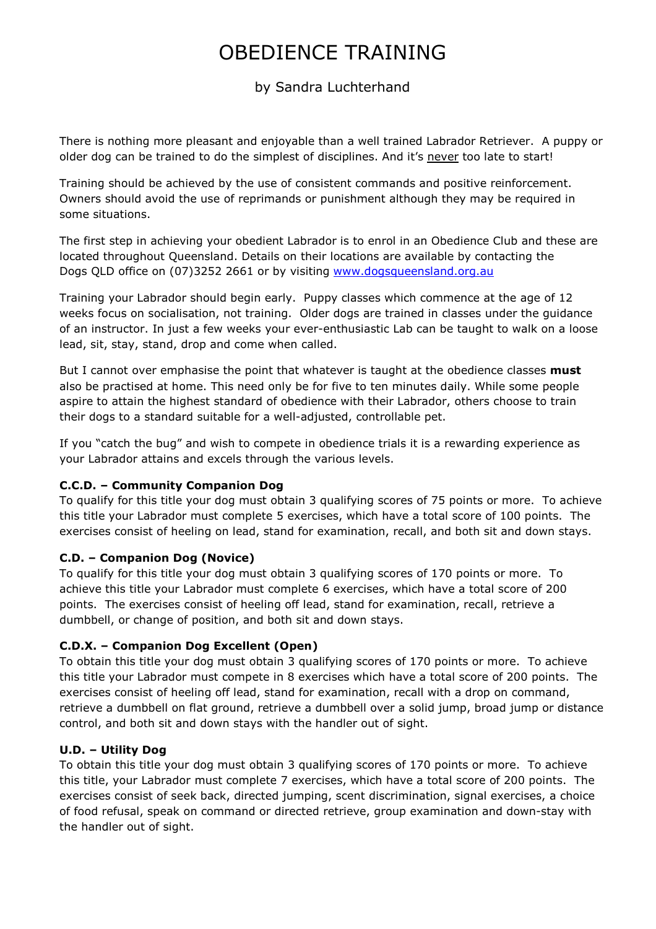# OBEDIENCE TRAINING

## by Sandra Luchterhand

There is nothing more pleasant and enjoyable than a well trained Labrador Retriever. A puppy or older dog can be trained to do the simplest of disciplines. And it's never too late to start!

Training should be achieved by the use of consistent commands and positive reinforcement. Owners should avoid the use of reprimands or punishment although they may be required in some situations.

The first step in achieving your obedient Labrador is to enrol in an Obedience Club and these are located throughout Queensland. Details on their locations are available by contacting the Dogs QLD office on (07)3252 2661 or by visiting www.dogsqueensland.org.au

Training your Labrador should begin early. Puppy classes which commence at the age of 12 weeks focus on socialisation, not training. Older dogs are trained in classes under the guidance of an instructor. In just a few weeks your ever-enthusiastic Lab can be taught to walk on a loose lead, sit, stay, stand, drop and come when called.

But I cannot over emphasise the point that whatever is taught at the obedience classes **must** also be practised at home. This need only be for five to ten minutes daily. While some people aspire to attain the highest standard of obedience with their Labrador, others choose to train their dogs to a standard suitable for a well-adjusted, controllable pet.

If you "catch the bug" and wish to compete in obedience trials it is a rewarding experience as your Labrador attains and excels through the various levels.

#### **C.C.D. – Community Companion Dog**

To qualify for this title your dog must obtain 3 qualifying scores of 75 points or more. To achieve this title your Labrador must complete 5 exercises, which have a total score of 100 points. The exercises consist of heeling on lead, stand for examination, recall, and both sit and down stays.

#### **C.D. – Companion Dog (Novice)**

To qualify for this title your dog must obtain 3 qualifying scores of 170 points or more. To achieve this title your Labrador must complete 6 exercises, which have a total score of 200 points. The exercises consist of heeling off lead, stand for examination, recall, retrieve a dumbbell, or change of position, and both sit and down stays.

#### **C.D.X. – Companion Dog Excellent (Open)**

To obtain this title your dog must obtain 3 qualifying scores of 170 points or more. To achieve this title your Labrador must compete in 8 exercises which have a total score of 200 points. The exercises consist of heeling off lead, stand for examination, recall with a drop on command, retrieve a dumbbell on flat ground, retrieve a dumbbell over a solid jump, broad jump or distance control, and both sit and down stays with the handler out of sight.

#### **U.D. – Utility Dog**

To obtain this title your dog must obtain 3 qualifying scores of 170 points or more. To achieve this title, your Labrador must complete 7 exercises, which have a total score of 200 points. The exercises consist of seek back, directed jumping, scent discrimination, signal exercises, a choice of food refusal, speak on command or directed retrieve, group examination and down-stay with the handler out of sight.